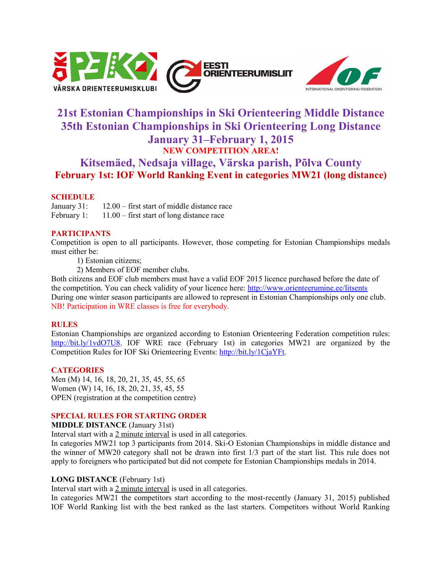



# **21st Estonian Championships in Ski Orienteering Middle Distance 35th Estonian Championships in Ski Orienteering Long Distance January 31–February 1, 2015 NEW COMPETITION AREA!**

# **Kitsemäed, Nedsaja village, Värska parish, Põlva County February 1st: IOF World Ranking Event in categories MW21 (long distance)**

# **SCHEDULE**

January 31: 12.00 – first start of middle distance race February 1: 11.00 – first start of long distance race

# **PARTICIPANTS**

Competition is open to all participants. However, those competing for Estonian Championships medals must either be:

1) Estonian citizens;

2) Members of EOF member clubs.

Both citizens and EOF club members must have a valid EOF 2015 licence purchased before the date of the competition. You can check validity of your licence here:<http://www.orienteerumine.ee/litsents> During one winter season participants are allowed to represent in Estonian Championships only one club. NB! Participation in WRE classes is free for everybody.

## **RULES**

Estonian Championships are organized according to Estonian Orienteering Federation competition rules: [http://bit.ly/1vdO7U8.](http://bit.ly/1vdO7U8) IOF WRE race (February 1st) in categories MW21 are organized by the Competition Rules for IOF Ski Orienteering Events: [http://bit.ly/1CjaYFt.](http://bit.ly/1CjaYFt)

## **CATEGORIES**

Men (M) 14, 16, 18, 20, 21, 35, 45, 55, 65 Women (W) 14, 16, 18, 20, 21, 35, 45, 55 OPEN (registration at the competition centre)

## **SPECIAL RULES FOR STARTING ORDER**

**MIDDLE DISTANCE** (January 31st)

Interval start with a 2 minute interval is used in all categories.

In categories MW21 top 3 participants from 2014. Ski-O Estonian Championships in middle distance and the winner of MW20 category shall not be drawn into first 1/3 part of the start list. This rule does not apply to foreigners who participated but did not compete for Estonian Championships medals in 2014.

## **LONG DISTANCE** (February 1st)

Interval start with a 2 minute interval is used in all categories.

In categories MW21 the competitors start according to the most-recently (January 31, 2015) published IOF World Ranking list with the best ranked as the last starters. Competitors without World Ranking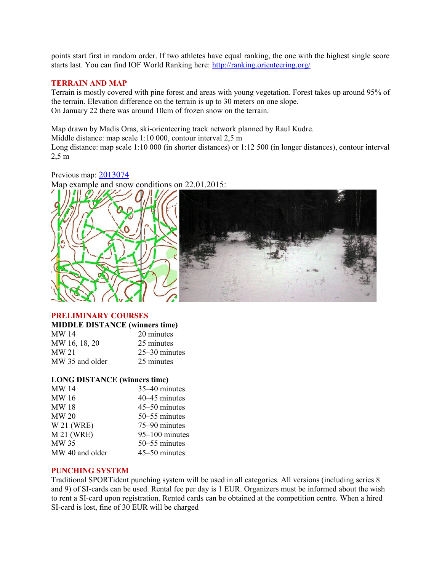points start first in random order. If two athletes have equal ranking, the one with the highest single score starts last. You can find IOF World Ranking here: http://ranking.orienteering.org/

# **TERRAIN AND MAP**

Terrain is mostly covered with pine forest and areas with young vegetation. Forest takes up around 95% of the terrain. Elevation difference on the terrain is up to 30 meters on one slope. On January 22 there was around 10cm of frozen snow on the terrain.

Map drawn by Madis Oras, ski-orienteering track network planned by Raul Kudre.

Middle distance: map scale 1:10 000, contour interval 2,5 m

Long distance: map scale 1:10 000 (in shorter distances) or 1:12 500 (in longer distances), contour interval 2,5 m

Previous map: [2013074](http://www.orienteerumine.ee/kaart/kaartshow.php?Kood=2013074)

Map example and snow conditions on 22.01.2015:



## **PRELIMINARY COURSES**

#### **MIDDLE DISTANCE (winners time)**

| <b>MW 14</b>    | 20 minutes      |
|-----------------|-----------------|
| MW 16, 18, 20   | 25 minutes      |
| <b>MW 21</b>    | $25-30$ minutes |
| MW 35 and older | 25 minutes      |

#### **LONG DISTANCE (winners time)**

| <b>MW 14</b>     | 35–40 minutes  |
|------------------|----------------|
| MW 16            | 40–45 minutes  |
| <b>MW18</b>      | 45–50 minutes  |
| <b>MW 20</b>     | 50–55 minutes  |
| W 21 (WRE)       | 75–90 minutes  |
| <b>M21 (WRE)</b> | 95-100 minutes |
| MW 35            | 50–55 minutes  |
| MW 40 and older  | 45-50 minutes  |

#### **PUNCHING SYSTEM**

Traditional SPORTident punching system will be used in all categories. All versions (including series 8 and 9) of SI-cards can be used. Rental fee per day is 1 EUR. Organizers must be informed about the wish to rent a SI-card upon registration. Rented cards can be obtained at the competition centre. When a hired SI-card is lost, fine of 30 EUR will be charged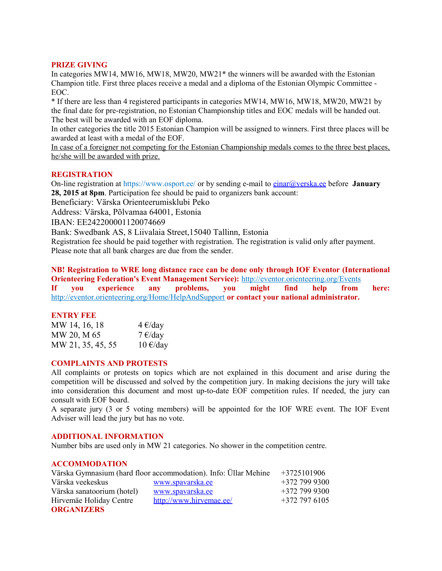## **PRIZE GIVING**

In categories MW14, MW16, MW18, MW20, MW21\* the winners will be awarded with the Estonian Champion title. First three places receive a medal and a diploma of the Estonian Olympic Committee - EOC.

\* If there are less than 4 registered participants in categories MW14, MW16, MW18, MW20, MW21 by the final date for pre-registration, no Estonian Championship titles and EOC medals will be handed out. The best will be awarded with an EOF diploma.

In other categories the title 2015 Estonian Champion will be assigned to winners. First three places will be awarded at least with a medal of the EOF.

In case of a foreigner not competing for the Estonian Championship medals comes to the three best places, he/she will be awarded with prize.

## **REGISTRATION**

On-line registration at https://www.osport.ee/ or by sending e-mail to [einar@verska.ee](mailto:einar@verska.ee) before **January 28, 2015 at 8pm**. Participation fee should be paid to organizers bank account:

Beneficiary: Värska Orienteerumisklubi Peko

Address: Värska, Põlvamaa 64001, Estonia

IBAN: EE242200001120074669

Bank: Swedbank AS, 8 Liivalaia Street,15040 Tallinn, Estonia

Registration fee should be paid together with registration. The registration is valid only after payment. Please note that all bank charges are due from the sender.

**NB! Registration to WRE long distance race can be done only through IOF Eventor (International Orienteering Federation's Event Management Service):** <http://eventor.orienteering.org/Events> **If you experience any problems, you might find help from here:** <http://eventor.orienteering.org/Home/HelpAndSupport> **or contact your national administrator.** 

#### **ENTRY FEE**

| MW 14, 16, 18     | $4 \text{€/day}$   |
|-------------------|--------------------|
| MW 20, M 65       | $7 \in$ /day       |
| MW 21, 35, 45, 55 | $10 \text{ E/day}$ |

#### **COMPLAINTS AND PROTESTS**

All complaints or protests on topics which are not explained in this document and arise during the competition will be discussed and solved by the competition jury. In making decisions the jury will take into consideration this document and most up-to-date EOF competition rules. If needed, the jury can consult with EOF board.

A separate jury (3 or 5 voting members) will be appointed for the IOF WRE event. The IOF Event Adviser will lead the jury but has no vote.

## **ADDITIONAL INFORMATION**

Number bibs are used only in MW 21 categories. No shower in the competition centre.

### **ACCOMMODATION**

| Värska Gymnasium (hard floor accommodation). Info: Üllar Mehine |                         | $+3725101906$ |
|-----------------------------------------------------------------|-------------------------|---------------|
| Värska veekeskus                                                | www.spavarska.ee        | $+3727999300$ |
| Värska sanatoorium (hotel)                                      | www.spavarska.ee        | $+3727999300$ |
| Hirvemäe Holiday Centre                                         | http://www.hirvemae.ee/ | $+3727976105$ |
| <b>ORGANIZERS</b>                                               |                         |               |